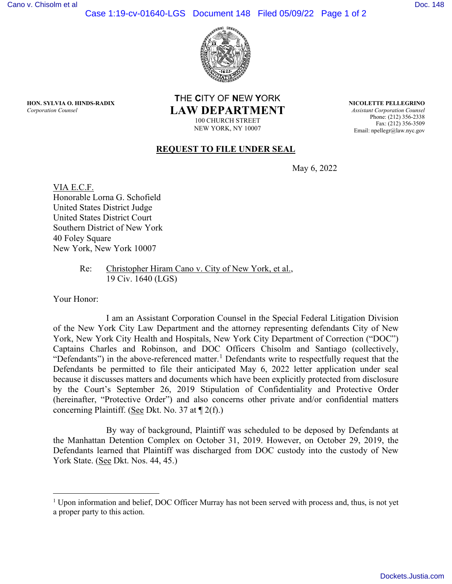Case 1:19-cv-01640-LGS Document 148 Filed 05/09/22 Page 1 of 2



**HON. SYLVIA O. HINDS-RADIX**  *Corporation Counsel*

**T**HE **C**ITY OF **N**EW **Y**ORK **LAW DEPARTMENT**

100 CHURCH STREET NEW YORK, NY 10007 **NICOLETTE PELLEGRINO** *Assistant Corporation Counsel* Phone: (212) 356-2338 Fax: (212) 356-3509 Email: npellegr@law.nyc.gov

## **REQUEST TO FILE UNDER SEAL**

May 6, 2022

VIA E.C.F. Honorable Lorna G. Schofield United States District Judge United States District Court Southern District of New York 40 Foley Square New York, New York 10007

> Re: Christopher Hiram Cano v. City of New York, et al., 19 Civ. 1640 (LGS)

Your Honor:

 I am an Assistant Corporation Counsel in the Special Federal Litigation Division of the New York City Law Department and the attorney representing defendants City of New York, New York City Health and Hospitals, New York City Department of Correction ("DOC") Captains Charles and Robinson, and DOC Officers Chisolm and Santiago (collectively, "Defendants") in the above-referenced matter.<sup>1</sup> Defendants write to respectfully request that the Defendants be permitted to file their anticipated May 6, 2022 letter application under seal because it discusses matters and documents which have been explicitly protected from disclosure by the Court's September 26, 2019 Stipulation of Confidentiality and Protective Order (hereinafter, "Protective Order") and also concerns other private and/or confidential matters concerning Plaintiff. (See Dkt. No. 37 at ¶ 2(f).)

By way of background, Plaintiff was scheduled to be deposed by Defendants at the Manhattan Detention Complex on October 31, 2019. However, on October 29, 2019, the Defendants learned that Plaintiff was discharged from DOC custody into the custody of New York State. (See Dkt. Nos. 44, 45.)

<sup>&</sup>lt;sup>1</sup> Upon information and belief, DOC Officer Murray has not been served with process and, thus, is not yet a proper party to this action.